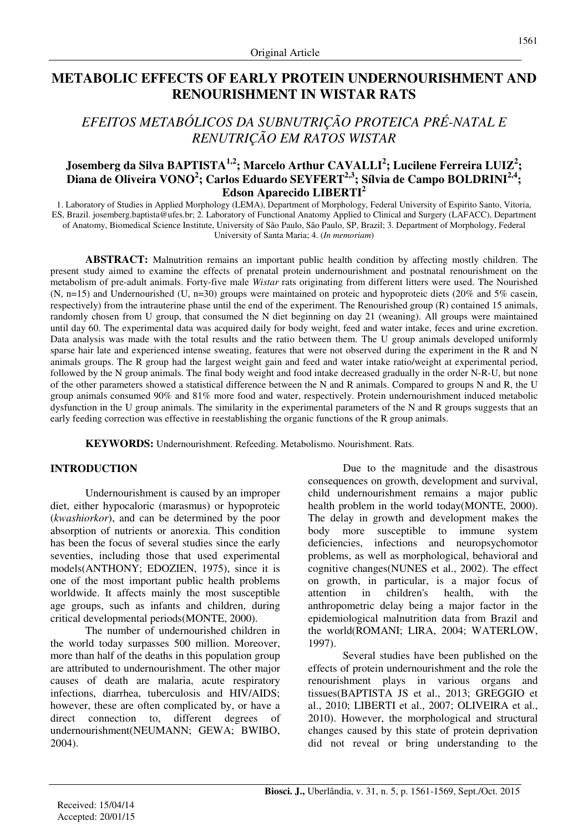## **METABOLIC EFFECTS OF EARLY PROTEIN UNDERNOURISHMENT AND RENOURISHMENT IN WISTAR RATS**

# *EFEITOS METABÓLICOS DA SUBNUTRIÇÃO PROTEICA PRÉ-NATAL E RENUTRIÇÃO EM RATOS WISTAR*

## **Josemberg da Silva BAPTISTA1,2; Marcelo Arthur CAVALLI<sup>2</sup> ; Lucilene Ferreira LUIZ<sup>2</sup> ; Diana de Oliveira VONO<sup>2</sup> ; Carlos Eduardo SEYFERT2,3; Sílvia de Campo BOLDRINI2,4; Edson Aparecido LIBERTI<sup>2</sup>**

1. Laboratory of Studies in Applied Morphology (LEMA), Department of Morphology, Federal University of Espirito Santo, Vitoria, ES, Brazil. josemberg.baptista@ufes.br; 2. Laboratory of Functional Anatomy Applied to Clinical and Surgery (LAFACC), Department of Anatomy, Biomedical Science Institute, University of São Paulo, São Paulo, SP, Brazil; 3. Department of Morphology, Federal University of Santa Maria; 4. (*In memoriam*)

**ABSTRACT:** Malnutrition remains an important public health condition by affecting mostly children. The present study aimed to examine the effects of prenatal protein undernourishment and postnatal renourishment on the metabolism of pre-adult animals. Forty-five male *Wistar* rats originating from different litters were used. The Nourished (N, n=15) and Undernourished (U, n=30) groups were maintained on proteic and hypoproteic diets (20% and 5% casein, respectively) from the intrauterine phase until the end of the experiment. The Renourished group (R) contained 15 animals, randomly chosen from U group, that consumed the N diet beginning on day 21 (weaning). All groups were maintained until day 60. The experimental data was acquired daily for body weight, feed and water intake, feces and urine excretion. Data analysis was made with the total results and the ratio between them. The U group animals developed uniformly sparse hair late and experienced intense sweating, features that were not observed during the experiment in the R and N animals groups. The R group had the largest weight gain and feed and water intake ratio/weight at experimental period, followed by the N group animals. The final body weight and food intake decreased gradually in the order N-R-U, but none of the other parameters showed a statistical difference between the N and R animals. Compared to groups N and R, the U group animals consumed 90% and 81% more food and water, respectively. Protein undernourishment induced metabolic dysfunction in the U group animals. The similarity in the experimental parameters of the N and R groups suggests that an early feeding correction was effective in reestablishing the organic functions of the R group animals.

**KEYWORDS:** Undernourishment. Refeeding. Metabolismo. Nourishment. Rats.

#### **INTRODUCTION**

Undernourishment is caused by an improper diet, either hypocaloric (marasmus) or hypoproteic (*kwashiorkor*), and can be determined by the poor absorption of nutrients or anorexia. This condition has been the focus of several studies since the early seventies, including those that used experimental models(ANTHONY; EDOZIEN, 1975), since it is one of the most important public health problems worldwide. It affects mainly the most susceptible age groups, such as infants and children, during critical developmental periods(MONTE, 2000).

The number of undernourished children in the world today surpasses 500 million. Moreover, more than half of the deaths in this population group are attributed to undernourishment. The other major causes of death are malaria, acute respiratory infections, diarrhea, tuberculosis and HIV/AIDS; however, these are often complicated by, or have a direct connection to, different degrees of undernourishment(NEUMANN; GEWA; BWIBO, 2004).

Due to the magnitude and the disastrous consequences on growth, development and survival, child undernourishment remains a major public health problem in the world today(MONTE, 2000). The delay in growth and development makes the body more susceptible to immune system deficiencies, infections and neuropsychomotor problems, as well as morphological, behavioral and cognitive changes(NUNES et al., 2002). The effect on growth, in particular, is a major focus of attention in children's health, with the anthropometric delay being a major factor in the epidemiological malnutrition data from Brazil and the world(ROMANI; LIRA, 2004; WATERLOW, 1997).

Several studies have been published on the effects of protein undernourishment and the role the renourishment plays in various organs and tissues(BAPTISTA JS et al., 2013; GREGGIO et al., 2010; LIBERTI et al., 2007; OLIVEIRA et al., 2010). However, the morphological and structural changes caused by this state of protein deprivation did not reveal or bring understanding to the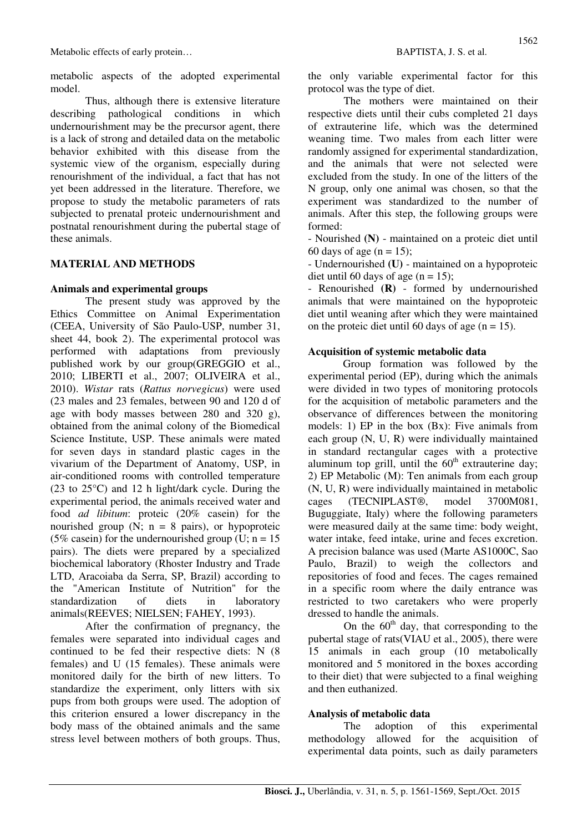metabolic aspects of the adopted experimental model.

Thus, although there is extensive literature describing pathological conditions in which undernourishment may be the precursor agent, there is a lack of strong and detailed data on the metabolic behavior exhibited with this disease from the systemic view of the organism, especially during renourishment of the individual, a fact that has not yet been addressed in the literature. Therefore, we propose to study the metabolic parameters of rats subjected to prenatal proteic undernourishment and postnatal renourishment during the pubertal stage of these animals.

## **MATERIAL AND METHODS**

#### **Animals and experimental groups**

The present study was approved by the Ethics Committee on Animal Experimentation (CEEA, University of São Paulo-USP, number 31, sheet 44, book 2). The experimental protocol was performed with adaptations from previously published work by our group(GREGGIO et al., 2010; LIBERTI et al., 2007; OLIVEIRA et al., 2010). *Wistar* rats (*Rattus norvegicus*) were used (23 males and 23 females, between 90 and 120 d of age with body masses between 280 and 320 g), obtained from the animal colony of the Biomedical Science Institute, USP. These animals were mated for seven days in standard plastic cages in the vivarium of the Department of Anatomy, USP, in air-conditioned rooms with controlled temperature (23 to 25°C) and 12 h light/dark cycle. During the experimental period, the animals received water and food *ad libitum*: proteic (20% casein) for the nourished group  $(N; n = 8 \text{ pairs})$ , or hypoproteic (5% casein) for the undernourished group (U;  $n = 15$ ) pairs). The diets were prepared by a specialized biochemical laboratory (Rhoster Industry and Trade LTD, Aracoiaba da Serra, SP, Brazil) according to the "American Institute of Nutrition" for the standardization of diets in laboratory animals(REEVES; NIELSEN; FAHEY, 1993).

After the confirmation of pregnancy, the females were separated into individual cages and continued to be fed their respective diets: N (8 females) and U (15 females). These animals were monitored daily for the birth of new litters. To standardize the experiment, only litters with six pups from both groups were used. The adoption of this criterion ensured a lower discrepancy in the body mass of the obtained animals and the same stress level between mothers of both groups. Thus, the only variable experimental factor for this protocol was the type of diet.

 The mothers were maintained on their respective diets until their cubs completed 21 days of extrauterine life, which was the determined weaning time. Two males from each litter were randomly assigned for experimental standardization, and the animals that were not selected were excluded from the study. In one of the litters of the N group, only one animal was chosen, so that the experiment was standardized to the number of animals. After this step, the following groups were formed:

- Nourished **(N)** - maintained on a proteic diet until 60 days of age  $(n = 15)$ ;

- Undernourished **(U)** - maintained on a hypoproteic diet until 60 days of age  $(n = 15)$ ;

- Renourished **(R)** - formed by undernourished animals that were maintained on the hypoproteic diet until weaning after which they were maintained on the proteic diet until 60 days of age  $(n = 15)$ .

#### **Acquisition of systemic metabolic data**

Group formation was followed by the experimental period (EP), during which the animals were divided in two types of monitoring protocols for the acquisition of metabolic parameters and the observance of differences between the monitoring models: 1) EP in the box (Bx): Five animals from each group (N, U, R) were individually maintained in standard rectangular cages with a protective aluminum top grill, until the  $60<sup>th</sup>$  extrauterine day; 2) EP Metabolic (M): Ten animals from each group (N, U, R) were individually maintained in metabolic cages (TECNIPLAST®, model 3700M081, Buguggiate, Italy) where the following parameters were measured daily at the same time: body weight, water intake, feed intake, urine and feces excretion. A precision balance was used (Marte AS1000C, Sao Paulo, Brazil) to weigh the collectors and repositories of food and feces. The cages remained in a specific room where the daily entrance was restricted to two caretakers who were properly dressed to handle the animals.

On the  $60<sup>th</sup>$  day, that corresponding to the pubertal stage of rats(VIAU et al., 2005), there were 15 animals in each group (10 metabolically monitored and 5 monitored in the boxes according to their diet) that were subjected to a final weighing and then euthanized.

#### **Analysis of metabolic data**

The adoption of this experimental methodology allowed for the acquisition of experimental data points, such as daily parameters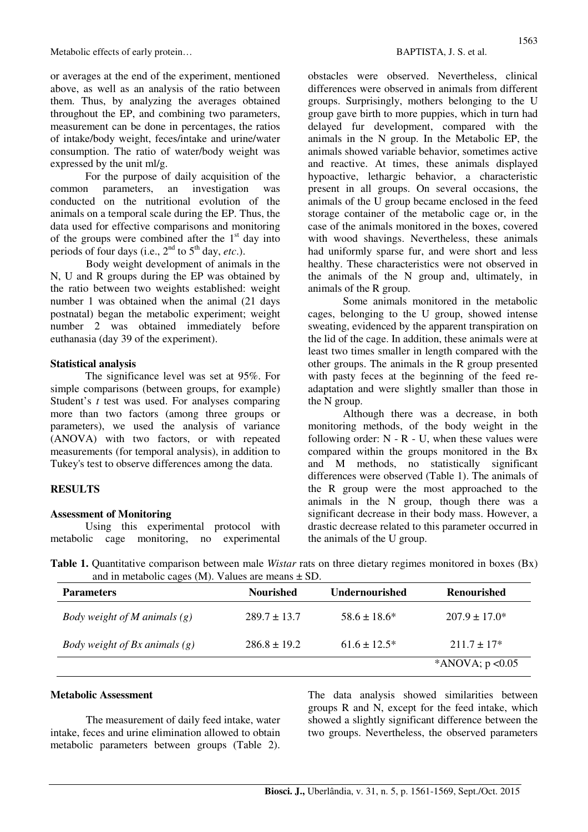or averages at the end of the experiment, mentioned above, as well as an analysis of the ratio between them. Thus, by analyzing the averages obtained throughout the EP, and combining two parameters, measurement can be done in percentages, the ratios of intake/body weight, feces/intake and urine/water consumption. The ratio of water/body weight was expressed by the unit ml/g.

For the purpose of daily acquisition of the common parameters, an investigation was conducted on the nutritional evolution of the animals on a temporal scale during the EP. Thus, the data used for effective comparisons and monitoring of the groups were combined after the  $1<sup>st</sup>$  day into periods of four days (i.e.,  $2<sup>nd</sup>$  to  $5<sup>th</sup>$  day, *etc.*).

Body weight development of animals in the N, U and R groups during the EP was obtained by the ratio between two weights established: weight number 1 was obtained when the animal (21 days postnatal) began the metabolic experiment; weight number 2 was obtained immediately before euthanasia (day 39 of the experiment).

#### **Statistical analysis**

The significance level was set at 95%. For simple comparisons (between groups, for example) Student's *t* test was used. For analyses comparing more than two factors (among three groups or parameters), we used the analysis of variance (ANOVA) with two factors, or with repeated measurements (for temporal analysis), in addition to Tukey's test to observe differences among the data.

#### **RESULTS**

#### **Assessment of Monitoring**

Using this experimental protocol with metabolic cage monitoring, no experimental obstacles were observed. Nevertheless, clinical differences were observed in animals from different groups. Surprisingly, mothers belonging to the U group gave birth to more puppies, which in turn had delayed fur development, compared with the animals in the N group. In the Metabolic EP, the animals showed variable behavior, sometimes active and reactive. At times, these animals displayed hypoactive, lethargic behavior, a characteristic present in all groups. On several occasions, the animals of the U group became enclosed in the feed storage container of the metabolic cage or, in the case of the animals monitored in the boxes, covered with wood shavings. Nevertheless, these animals had uniformly sparse fur, and were short and less healthy. These characteristics were not observed in the animals of the N group and, ultimately, in animals of the R group.

Some animals monitored in the metabolic cages, belonging to the U group, showed intense sweating, evidenced by the apparent transpiration on the lid of the cage. In addition, these animals were at least two times smaller in length compared with the other groups. The animals in the R group presented with pasty feces at the beginning of the feed readaptation and were slightly smaller than those in the N group.

Although there was a decrease, in both monitoring methods, of the body weight in the following order:  $N - R - U$ , when these values were compared within the groups monitored in the Bx and M methods, no statistically significant differences were observed (Table 1). The animals of the R group were the most approached to the animals in the N group, though there was a significant decrease in their body mass. However, a drastic decrease related to this parameter occurred in the animals of the U group.

**Table 1.** Quantitative comparison between male *Wistar* rats on three dietary regimes monitored in boxes (Bx) and in metabolic cages (M). Values are means  $\pm$  SD.

| <b>Parameters</b>                                 | <b>Nourished</b> | <b>Undernourished</b> | <b>Renourished</b> |
|---------------------------------------------------|------------------|-----------------------|--------------------|
| <i>Body weight of M animals <math>(g)</math></i>  | $289.7 + 13.7$   | $58.6 \pm 18.6^*$     | $207.9 \pm 17.0^*$ |
| <i>Body weight of Bx animals <math>(g)</math></i> | $286.8 \pm 19.2$ | $61.6 + 12.5*$        | $211.7 \pm 17*$    |
|                                                   |                  |                       | *ANOVA; $p < 0.05$ |

#### **Metabolic Assessment**

The measurement of daily feed intake, water intake, feces and urine elimination allowed to obtain metabolic parameters between groups (Table 2).

The data analysis showed similarities between groups R and N, except for the feed intake, which showed a slightly significant difference between the two groups. Nevertheless, the observed parameters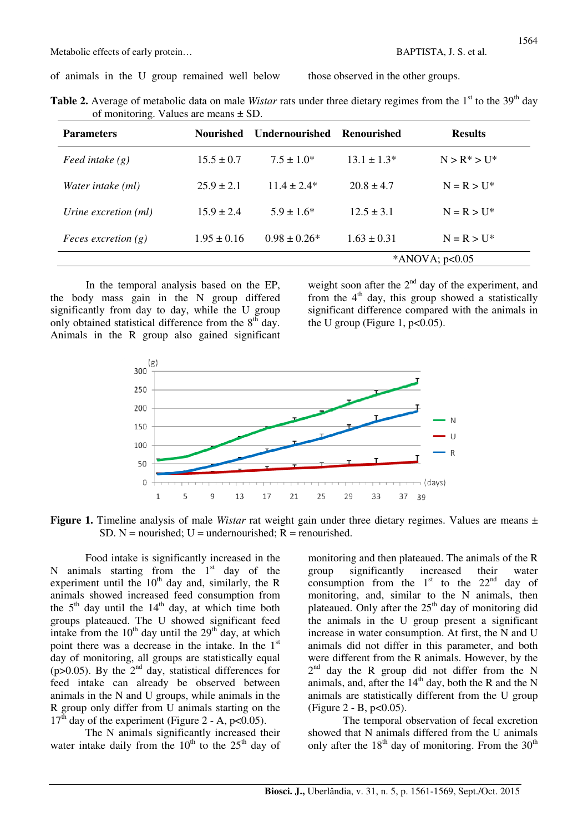of animals in the U group remained well below those observed in the other groups.

| <b>Table 2.</b> Average of metabolic data on male Wistar rats under three dietary regimes from the $1st$ to the 39 <sup>th</sup> day |  |  |  |  |
|--------------------------------------------------------------------------------------------------------------------------------------|--|--|--|--|
| of monitoring. Values are means $\pm$ SD.                                                                                            |  |  |  |  |

| <b>Parameters</b>            | Nourished       | <b>Undernourished</b> | Renourished      | <b>Results</b>  |  |
|------------------------------|-----------------|-----------------------|------------------|-----------------|--|
| Feed intake $(g)$            | $15.5 \pm 0.7$  | $7.5 \pm 1.0^*$       | $13.1 \pm 1.3*$  | $N > R^* > U^*$ |  |
| Water intake (ml)            | $25.9 \pm 2.1$  | $11.4 \pm 2.4*$       | $20.8 \pm 4.7$   | $N = R > U^*$   |  |
| Urine excretion (ml)         | $15.9 \pm 2.4$  | $5.9 \pm 1.6^*$       | $12.5 \pm 3.1$   | $N = R > U^*$   |  |
| <i>Feces excretion</i> $(g)$ | $1.95 \pm 0.16$ | $0.98 \pm 0.26^*$     | $1.63 \pm 0.31$  |                 |  |
|                              |                 |                       | *ANOVA; $p<0.05$ |                 |  |

In the temporal analysis based on the EP, the body mass gain in the N group differed significantly from day to day, while the U group only obtained statistical difference from the  $8<sup>th</sup>$  day. Animals in the R group also gained significant

weight soon after the  $2<sup>nd</sup>$  day of the experiment, and from the  $4<sup>th</sup>$  day, this group showed a statistically significant difference compared with the animals in the U group (Figure 1,  $p<0.05$ ).



**Figure 1.** Timeline analysis of male *Wistar* rat weight gain under three dietary regimes. Values are means ± SD. N = nourished;  $U =$  undernourished;  $R =$  renourished.

Food intake is significantly increased in the N animals starting from the  $1<sup>st</sup>$  day of the experiment until the  $10<sup>th</sup>$  day and, similarly, the R animals showed increased feed consumption from the  $5<sup>th</sup>$  day until the  $14<sup>th</sup>$  day, at which time both groups plateaued. The U showed significant feed intake from the  $10<sup>th</sup>$  day until the  $29<sup>th</sup>$  day, at which point there was a decrease in the intake. In the 1<sup>st</sup> day of monitoring, all groups are statistically equal (p>0.05). By the  $2<sup>nd</sup>$  day, statistical differences for feed intake can already be observed between animals in the N and U groups, while animals in the R group only differ from U animals starting on the  $17<sup>th</sup>$  day of the experiment (Figure 2 - A, p<0.05).

The N animals significantly increased their water intake daily from the  $10^{th}$  to the  $25^{th}$  day of

monitoring and then plateaued. The animals of the R group significantly increased their water consumption from the  $1<sup>st</sup>$  to the  $22<sup>nd</sup>$  day of monitoring, and, similar to the N animals, then plateaued. Only after the  $25<sup>th</sup>$  day of monitoring did the animals in the U group present a significant increase in water consumption. At first, the N and U animals did not differ in this parameter, and both were different from the R animals. However, by the 2<sup>nd</sup> day the R group did not differ from the N animals, and, after the  $14<sup>th</sup>$  day, both the R and the N animals are statistically different from the U group (Figure 2 - B,  $p < 0.05$ ).

 The temporal observation of fecal excretion showed that N animals differed from the U animals only after the  $18<sup>th</sup>$  day of monitoring. From the  $30<sup>th</sup>$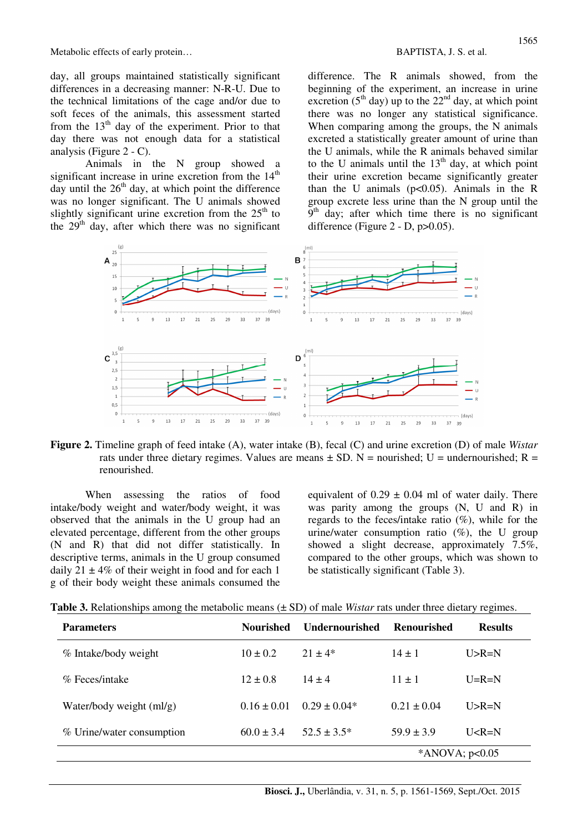day, all groups maintained statistically significant differences in a decreasing manner: N-R-U. Due to the technical limitations of the cage and/or due to soft feces of the animals, this assessment started from the  $13<sup>th</sup>$  day of the experiment. Prior to that day there was not enough data for a statistical analysis (Figure 2 - C).

Animals in the N group showed a significant increase in urine excretion from the  $14<sup>th</sup>$ day until the  $26<sup>th</sup>$  day, at which point the difference was no longer significant. The U animals showed slightly significant urine excretion from the  $25<sup>th</sup>$  to the  $29<sup>th</sup>$  day, after which there was no significant difference. The R animals showed, from the beginning of the experiment, an increase in urine excretion ( $5<sup>th</sup>$  day) up to the  $22<sup>nd</sup>$  day, at which point there was no longer any statistical significance. When comparing among the groups, the N animals excreted a statistically greater amount of urine than the U animals, while the R animals behaved similar to the U animals until the  $13<sup>th</sup>$  day, at which point their urine excretion became significantly greater than the U animals ( $p<0.05$ ). Animals in the R group excrete less urine than the N group until the  $9<sup>th</sup>$  day; after which time there is no significant difference (Figure  $2 - D$ ,  $p > 0.05$ ).



**Figure 2.** Timeline graph of feed intake (A), water intake (B), fecal (C) and urine excretion (D) of male *Wistar* rats under three dietary regimes. Values are means  $\pm$  SD. N = nourished; U = undernourished; R = renourished.

When assessing the ratios of food intake/body weight and water/body weight, it was observed that the animals in the U group had an elevated percentage, different from the other groups (N and R) that did not differ statistically. In descriptive terms, animals in the U group consumed daily  $21 \pm 4\%$  of their weight in food and for each 1 g of their body weight these animals consumed the equivalent of  $0.29 \pm 0.04$  ml of water daily. There was parity among the groups (N, U and R) in regards to the feces/intake ratio (%), while for the urine/water consumption ratio  $(\%)$ , the U group showed a slight decrease, approximately 7.5%, compared to the other groups, which was shown to be statistically significant (Table 3).

| Table 3. Relationships among the metabolic means $(\pm SD)$ of male Wistar rats under three dietary regimes. |  |
|--------------------------------------------------------------------------------------------------------------|--|
|                                                                                                              |  |

| <b>Parameters</b>          | <b>Nourished</b> | <b>Undernourished</b> | Renourished    | <b>Results</b> |
|----------------------------|------------------|-----------------------|----------------|----------------|
| % Intake/body weight       | $10 \pm 0.2$     | $21 + 4*$             | $14 \pm 1$     | $U > R = N$    |
| % Feces/intake             | $12 \pm 0.8$     | $14 + 4$              | $11 + 1$       | $U=R=N$        |
| Water/body weight $(ml/g)$ | $0.16 \pm 0.01$  | $0.29 + 0.04*$        | $0.21 + 0.04$  | $I > R = N$    |
| % Urine/water consumption  | $60.0 \pm 3.4$   | $52.5 \pm 3.5^*$      | $59.9 \pm 3.9$ | $U < R = N$    |
| *ANOVA; $p<0.05$           |                  |                       |                |                |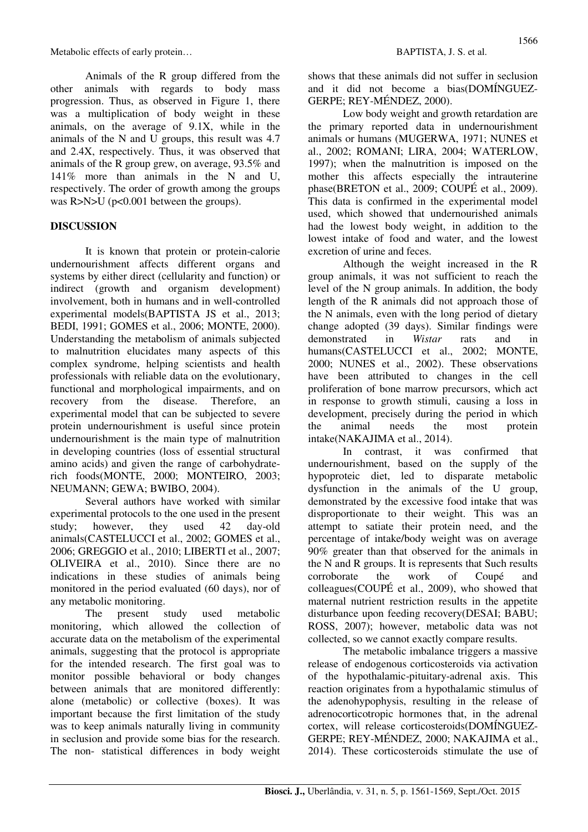Animals of the R group differed from the other animals with regards to body mass progression. Thus, as observed in Figure 1, there was a multiplication of body weight in these animals, on the average of 9.1X, while in the animals of the N and U groups, this result was 4.7 and 2.4X, respectively. Thus, it was observed that animals of the R group grew, on average, 93.5% and 141% more than animals in the N and U, respectively. The order of growth among the groups was R>N>U (p<0.001 between the groups).

### **DISCUSSION**

It is known that protein or protein-calorie undernourishment affects different organs and systems by either direct (cellularity and function) or indirect (growth and organism development) involvement, both in humans and in well-controlled experimental models(BAPTISTA JS et al., 2013; BEDI, 1991; GOMES et al., 2006; MONTE, 2000). Understanding the metabolism of animals subjected to malnutrition elucidates many aspects of this complex syndrome, helping scientists and health professionals with reliable data on the evolutionary, functional and morphological impairments, and on recovery from the disease. Therefore, an experimental model that can be subjected to severe protein undernourishment is useful since protein undernourishment is the main type of malnutrition in developing countries (loss of essential structural amino acids) and given the range of carbohydraterich foods(MONTE, 2000; MONTEIRO, 2003; NEUMANN; GEWA; BWIBO, 2004).

Several authors have worked with similar experimental protocols to the one used in the present study; however, they used 42 day-old animals(CASTELUCCI et al., 2002; GOMES et al., 2006; GREGGIO et al., 2010; LIBERTI et al., 2007; OLIVEIRA et al., 2010). Since there are no indications in these studies of animals being monitored in the period evaluated (60 days), nor of any metabolic monitoring.

The present study used metabolic monitoring, which allowed the collection of accurate data on the metabolism of the experimental animals, suggesting that the protocol is appropriate for the intended research. The first goal was to monitor possible behavioral or body changes between animals that are monitored differently: alone (metabolic) or collective (boxes). It was important because the first limitation of the study was to keep animals naturally living in community in seclusion and provide some bias for the research. The non- statistical differences in body weight shows that these animals did not suffer in seclusion and it did not become a bias(DOMÍNGUEZ-GERPE; REY-MÉNDEZ, 2000).

Low body weight and growth retardation are the primary reported data in undernourishment animals or humans (MUGERWA, 1971; NUNES et al., 2002; ROMANI; LIRA, 2004; WATERLOW, 1997); when the malnutrition is imposed on the mother this affects especially the intrauterine phase(BRETON et al., 2009; COUPÉ et al., 2009). This data is confirmed in the experimental model used, which showed that undernourished animals had the lowest body weight, in addition to the lowest intake of food and water, and the lowest excretion of urine and feces.

Although the weight increased in the R group animals, it was not sufficient to reach the level of the N group animals. In addition, the body length of the R animals did not approach those of the N animals, even with the long period of dietary change adopted (39 days). Similar findings were demonstrated in *Wistar* rats and in humans(CASTELUCCI et al., 2002; MONTE, 2000; NUNES et al., 2002). These observations have been attributed to changes in the cell proliferation of bone marrow precursors, which act in response to growth stimuli, causing a loss in development, precisely during the period in which the animal needs the most protein intake(NAKAJIMA et al., 2014).

In contrast, it was confirmed that undernourishment, based on the supply of the hypoproteic diet, led to disparate metabolic dysfunction in the animals of the U group, demonstrated by the excessive food intake that was disproportionate to their weight. This was an attempt to satiate their protein need, and the percentage of intake/body weight was on average 90% greater than that observed for the animals in the N and R groups. It is represents that Such results corroborate the work of Coupé and colleagues(COUPÉ et al., 2009), who showed that maternal nutrient restriction results in the appetite disturbance upon feeding recovery(DESAI; BABU; ROSS, 2007); however, metabolic data was not collected, so we cannot exactly compare results.

The metabolic imbalance triggers a massive release of endogenous corticosteroids via activation of the hypothalamic-pituitary-adrenal axis. This reaction originates from a hypothalamic stimulus of the adenohypophysis, resulting in the release of adrenocorticotropic hormones that, in the adrenal cortex, will release corticosteroids(DOMÍNGUEZ-GERPE; REY-MÉNDEZ, 2000; NAKAJIMA et al., 2014). These corticosteroids stimulate the use of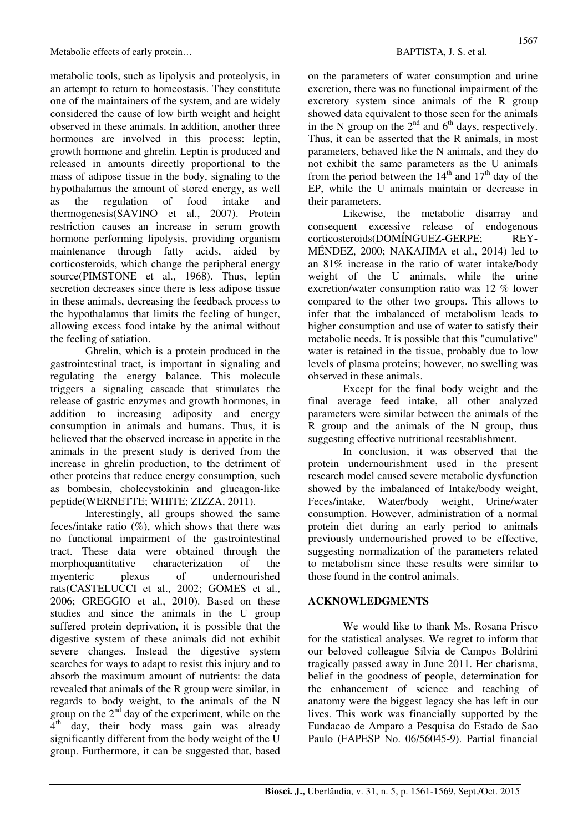metabolic tools, such as lipolysis and proteolysis, in an attempt to return to homeostasis. They constitute one of the maintainers of the system, and are widely considered the cause of low birth weight and height observed in these animals. In addition, another three hormones are involved in this process: leptin, growth hormone and ghrelin. Leptin is produced and released in amounts directly proportional to the mass of adipose tissue in the body, signaling to the hypothalamus the amount of stored energy, as well as the regulation of food intake and thermogenesis(SAVINO et al., 2007). Protein restriction causes an increase in serum growth hormone performing lipolysis, providing organism maintenance through fatty acids, aided by corticosteroids, which change the peripheral energy source(PIMSTONE et al., 1968). Thus, leptin secretion decreases since there is less adipose tissue in these animals, decreasing the feedback process to the hypothalamus that limits the feeling of hunger, allowing excess food intake by the animal without the feeling of satiation.

Ghrelin, which is a protein produced in the gastrointestinal tract, is important in signaling and regulating the energy balance. This molecule triggers a signaling cascade that stimulates the release of gastric enzymes and growth hormones, in addition to increasing adiposity and energy consumption in animals and humans. Thus, it is believed that the observed increase in appetite in the animals in the present study is derived from the increase in ghrelin production, to the detriment of other proteins that reduce energy consumption, such as bombesin, cholecystokinin and glucagon-like peptide(WERNETTE; WHITE; ZIZZA, 2011).

Interestingly, all groups showed the same feces/intake ratio  $(\%)$ , which shows that there was no functional impairment of the gastrointestinal tract. These data were obtained through the morphoquantitative characterization of the myenteric plexus of undernourished rats(CASTELUCCI et al., 2002; GOMES et al., 2006; GREGGIO et al., 2010). Based on these studies and since the animals in the U group suffered protein deprivation, it is possible that the digestive system of these animals did not exhibit severe changes. Instead the digestive system searches for ways to adapt to resist this injury and to absorb the maximum amount of nutrients: the data revealed that animals of the R group were similar, in regards to body weight, to the animals of the N group on the  $2<sup>nd</sup>$  day of the experiment, while on the 4<sup>th</sup> day, their body mass gain was already significantly different from the body weight of the U group. Furthermore, it can be suggested that, based

on the parameters of water consumption and urine excretion, there was no functional impairment of the excretory system since animals of the R group showed data equivalent to those seen for the animals in the N group on the  $2<sup>nd</sup>$  and  $6<sup>th</sup>$  days, respectively. Thus, it can be asserted that the R animals, in most parameters, behaved like the N animals, and they do not exhibit the same parameters as the U animals from the period between the  $14<sup>th</sup>$  and  $17<sup>th</sup>$  day of the EP, while the U animals maintain or decrease in their parameters.

Likewise, the metabolic disarray and consequent excessive release of endogenous corticosteroids(DOMÍNGUEZ-GERPE; REY-MÉNDEZ, 2000; NAKAJIMA et al., 2014) led to an 81% increase in the ratio of water intake/body weight of the U animals, while the urine excretion/water consumption ratio was 12 % lower compared to the other two groups. This allows to infer that the imbalanced of metabolism leads to higher consumption and use of water to satisfy their metabolic needs. It is possible that this "cumulative" water is retained in the tissue, probably due to low levels of plasma proteins; however, no swelling was observed in these animals.

Except for the final body weight and the final average feed intake, all other analyzed parameters were similar between the animals of the R group and the animals of the N group, thus suggesting effective nutritional reestablishment.

 In conclusion, it was observed that the protein undernourishment used in the present research model caused severe metabolic dysfunction showed by the imbalanced of Intake/body weight, Feces/intake, Water/body weight, Urine/water consumption. However, administration of a normal protein diet during an early period to animals previously undernourished proved to be effective, suggesting normalization of the parameters related to metabolism since these results were similar to those found in the control animals.

#### **ACKNOWLEDGMENTS**

We would like to thank Ms. Rosana Prisco for the statistical analyses. We regret to inform that our beloved colleague Sílvia de Campos Boldrini tragically passed away in June 2011. Her charisma, belief in the goodness of people, determination for the enhancement of science and teaching of anatomy were the biggest legacy she has left in our lives. This work was financially supported by the Fundacao de Amparo a Pesquisa do Estado de Sao Paulo (FAPESP No. 06/56045-9). Partial financial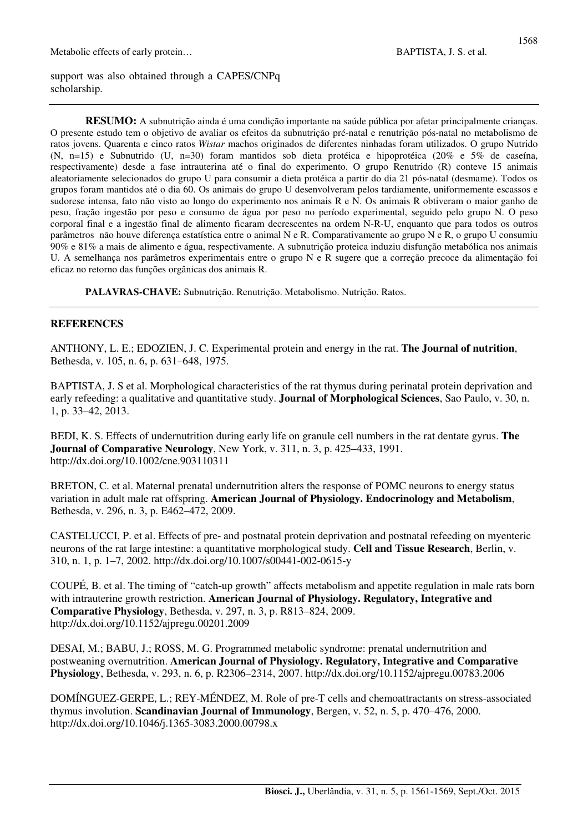support was also obtained through a CAPES/CNPq scholarship.

**RESUMO:** A subnutrição ainda é uma condição importante na saúde pública por afetar principalmente crianças. O presente estudo tem o objetivo de avaliar os efeitos da subnutrição pré-natal e renutrição pós-natal no metabolismo de ratos jovens. Quarenta e cinco ratos *Wistar* machos originados de diferentes ninhadas foram utilizados. O grupo Nutrido (N, n=15) e Subnutrido (U, n=30) foram mantidos sob dieta protéica e hipoprotéica (20% e 5% de caseína, respectivamente) desde a fase intrauterina até o final do experimento. O grupo Renutrido (R) conteve 15 animais aleatoriamente selecionados do grupo U para consumir a dieta protéica a partir do dia 21 pós-natal (desmame). Todos os grupos foram mantidos até o dia 60. Os animais do grupo U desenvolveram pelos tardiamente, uniformemente escassos e sudorese intensa, fato não visto ao longo do experimento nos animais R e N. Os animais R obtiveram o maior ganho de peso, fração ingestão por peso e consumo de água por peso no período experimental, seguido pelo grupo N. O peso corporal final e a ingestão final de alimento ficaram decrescentes na ordem N-R-U, enquanto que para todos os outros parâmetros não houve diferença estatística entre o animal N e R. Comparativamente ao grupo N e R, o grupo U consumiu 90% e 81% a mais de alimento e água, respectivamente. A subnutrição proteica induziu disfunção metabólica nos animais U. A semelhança nos parâmetros experimentais entre o grupo N e R sugere que a correção precoce da alimentação foi eficaz no retorno das funções orgânicas dos animais R.

**PALAVRAS-CHAVE:** Subnutrição. Renutrição. Metabolismo. Nutrição. Ratos.

#### **REFERENCES**

ANTHONY, L. E.; EDOZIEN, J. C. Experimental protein and energy in the rat. **The Journal of nutrition**, Bethesda, v. 105, n. 6, p. 631–648, 1975.

BAPTISTA, J. S et al. Morphological characteristics of the rat thymus during perinatal protein deprivation and early refeeding: a qualitative and quantitative study. **Journal of Morphological Sciences**, Sao Paulo, v. 30, n. 1, p. 33–42, 2013.

BEDI, K. S. Effects of undernutrition during early life on granule cell numbers in the rat dentate gyrus. **The Journal of Comparative Neurology**, New York, v. 311, n. 3, p. 425–433, 1991. http://dx.doi.org/10.1002/cne.903110311

BRETON, C. et al. Maternal prenatal undernutrition alters the response of POMC neurons to energy status variation in adult male rat offspring. **American Journal of Physiology. Endocrinology and Metabolism**, Bethesda, v. 296, n. 3, p. E462–472, 2009.

CASTELUCCI, P. et al. Effects of pre- and postnatal protein deprivation and postnatal refeeding on myenteric neurons of the rat large intestine: a quantitative morphological study. **Cell and Tissue Research**, Berlin, v. 310, n. 1, p. 1–7, 2002. http://dx.doi.org/10.1007/s00441-002-0615-y

COUPÉ, B. et al. The timing of "catch-up growth" affects metabolism and appetite regulation in male rats born with intrauterine growth restriction. **American Journal of Physiology. Regulatory, Integrative and Comparative Physiology**, Bethesda, v. 297, n. 3, p. R813–824, 2009. http://dx.doi.org/10.1152/ajpregu.00201.2009

DESAI, M.; BABU, J.; ROSS, M. G. Programmed metabolic syndrome: prenatal undernutrition and postweaning overnutrition. **American Journal of Physiology. Regulatory, Integrative and Comparative Physiology**, Bethesda, v. 293, n. 6, p. R2306–2314, 2007. http://dx.doi.org/10.1152/ajpregu.00783.2006

DOMÍNGUEZ-GERPE, L.; REY-MÉNDEZ, M. Role of pre-T cells and chemoattractants on stress-associated thymus involution. **Scandinavian Journal of Immunology**, Bergen, v. 52, n. 5, p. 470–476, 2000. http://dx.doi.org/10.1046/j.1365-3083.2000.00798.x